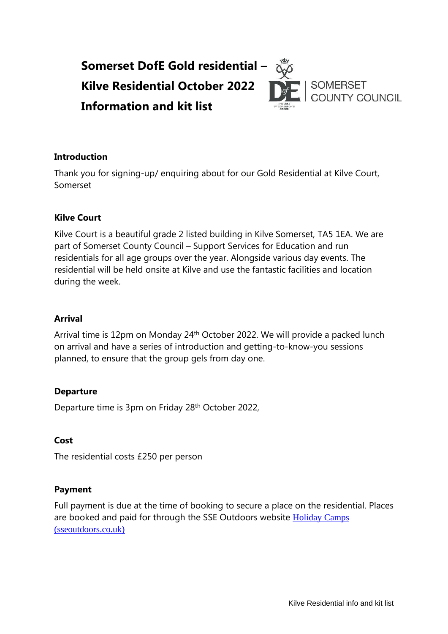

#### **Introduction**

Thank you for signing-up/ enquiring about for our Gold Residential at Kilve Court, Somerset

#### **Kilve Court**

Kilve Court is a beautiful grade 2 listed building in Kilve Somerset, TA5 1EA. We are part of Somerset County Council – Support Services for Education and run residentials for all age groups over the year. Alongside various day events. The residential will be held onsite at Kilve and use the fantastic facilities and location during the week.

#### **Arrival**

Arrival time is 12pm on Monday 24<sup>th</sup> October 2022. We will provide a packed lunch on arrival and have a series of introduction and getting-to-know-you sessions planned, to ensure that the group gels from day one.

### **Departure**

Departure time is 3pm on Friday 28<sup>th</sup> October 2022,

#### **Cost**

The residential costs £250 per person

#### **Payment**

Full payment is due at the time of booking to secure a place on the residential. Places are booked and paid for through the SSE Outdoors website [Holiday Camps](https://sseoutdoors.co.uk/holiday-camps/)  [\(sseoutdoors.co.uk\)](https://sseoutdoors.co.uk/holiday-camps/)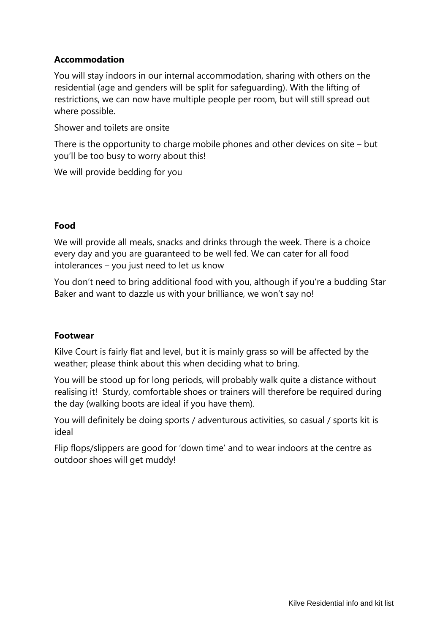# **Accommodation**

You will stay indoors in our internal accommodation, sharing with others on the residential (age and genders will be split for safeguarding). With the lifting of restrictions, we can now have multiple people per room, but will still spread out where possible.

Shower and toilets are onsite

There is the opportunity to charge mobile phones and other devices on site – but you'll be too busy to worry about this!

We will provide bedding for you

## **Food**

We will provide all meals, snacks and drinks through the week. There is a choice every day and you are guaranteed to be well fed. We can cater for all food intolerances – you just need to let us know

You don't need to bring additional food with you, although if you're a budding Star Baker and want to dazzle us with your brilliance, we won't say no!

### **Footwear**

Kilve Court is fairly flat and level, but it is mainly grass so will be affected by the weather; please think about this when deciding what to bring.

You will be stood up for long periods, will probably walk quite a distance without realising it! Sturdy, comfortable shoes or trainers will therefore be required during the day (walking boots are ideal if you have them).

You will definitely be doing sports / adventurous activities, so casual / sports kit is ideal

Flip flops/slippers are good for 'down time' and to wear indoors at the centre as outdoor shoes will get muddy!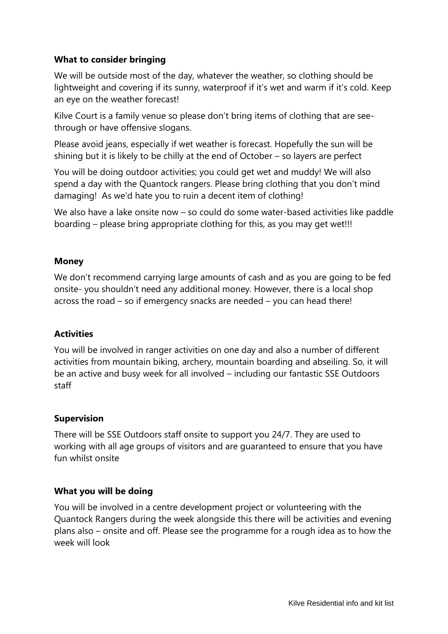## **What to consider bringing**

We will be outside most of the day, whatever the weather, so clothing should be lightweight and covering if its sunny, waterproof if it's wet and warm if it's cold. Keep an eye on the weather forecast!

Kilve Court is a family venue so please don't bring items of clothing that are seethrough or have offensive slogans.

Please avoid jeans, especially if wet weather is forecast. Hopefully the sun will be shining but it is likely to be chilly at the end of October – so layers are perfect

You will be doing outdoor activities; you could get wet and muddy! We will also spend a day with the Quantock rangers. Please bring clothing that you don't mind damaging! As we'd hate you to ruin a decent item of clothing!

We also have a lake onsite now – so could do some water-based activities like paddle boarding – please bring appropriate clothing for this, as you may get wet!!!

### **Money**

We don't recommend carrying large amounts of cash and as you are going to be fed onsite- you shouldn't need any additional money. However, there is a local shop across the road – so if emergency snacks are needed – you can head there!

### **Activities**

You will be involved in ranger activities on one day and also a number of different activities from mountain biking, archery, mountain boarding and abseiling. So, it will be an active and busy week for all involved – including our fantastic SSE Outdoors staff

### **Supervision**

There will be SSE Outdoors staff onsite to support you 24/7. They are used to working with all age groups of visitors and are guaranteed to ensure that you have fun whilst onsite

### **What you will be doing**

You will be involved in a centre development project or volunteering with the Quantock Rangers during the week alongside this there will be activities and evening plans also – onsite and off. Please see the programme for a rough idea as to how the week will look